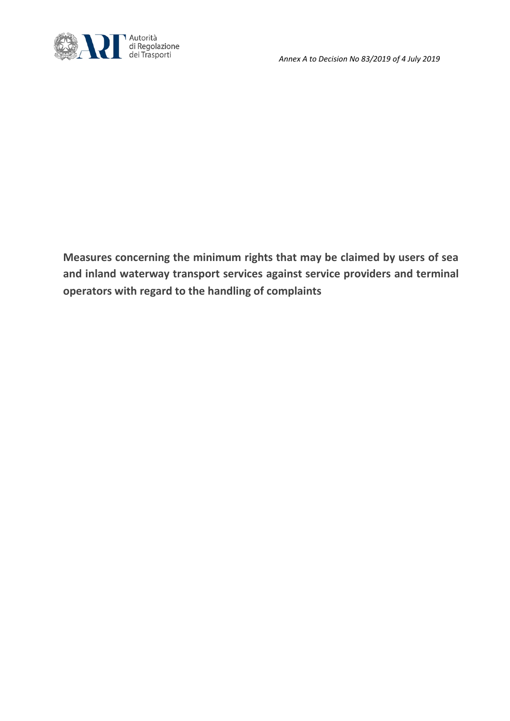

**Measures concerning the minimum rights that may be claimed by users of sea and inland waterway transport services against service providers and terminal operators with regard to the handling of complaints**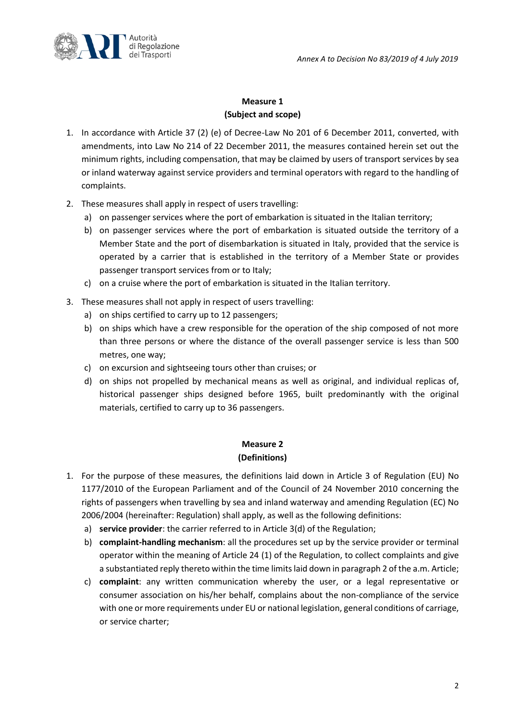

# **Measure 1 (Subject and scope)**

- 1. In accordance with Article 37 (2) (e) of Decree-Law No 201 of 6 December 2011, converted, with amendments, into Law No 214 of 22 December 2011, the measures contained herein set out the minimum rights, including compensation, that may be claimed by users of transport services by sea or inland waterway against service providers and terminal operators with regard to the handling of complaints.
- 2. These measures shall apply in respect of users travelling:
	- a) on passenger services where the port of embarkation is situated in the Italian territory;
	- b) on passenger services where the port of embarkation is situated outside the territory of a Member State and the port of disembarkation is situated in Italy, provided that the service is operated by a carrier that is established in the territory of a Member State or provides passenger transport services from or to Italy;
	- c) on a cruise where the port of embarkation is situated in the Italian territory.
- 3. These measures shall not apply in respect of users travelling:
	- a) on ships certified to carry up to 12 passengers;
	- b) on ships which have a crew responsible for the operation of the ship composed of not more than three persons or where the distance of the overall passenger service is less than 500 metres, one way;
	- c) on excursion and sightseeing tours other than cruises; or
	- d) on ships not propelled by mechanical means as well as original, and individual replicas of, historical passenger ships designed before 1965, built predominantly with the original materials, certified to carry up to 36 passengers.

# **Measure 2 (Definitions)**

- 1. For the purpose of these measures, the definitions laid down in Article 3 of Regulation (EU) No 1177/2010 of the European Parliament and of the Council of 24 November 2010 concerning the rights of passengers when travelling by sea and inland waterway and amending Regulation (EC) No 2006/2004 (hereinafter: Regulation) shall apply, as well as the following definitions:
	- a) **service provider**: the carrier referred to in Article 3(d) of the Regulation;
	- b) **complaint-handling mechanism**: all the procedures set up by the service provider or terminal operator within the meaning of Article 24 (1) of the Regulation, to collect complaints and give a substantiated reply thereto within the time limits laid down in paragraph 2 of the a.m. Article;
	- c) **complaint**: any written communication whereby the user, or a legal representative or consumer association on his/her behalf, complains about the non-compliance of the service with one or more requirements under EU or national legislation, general conditions of carriage, or service charter;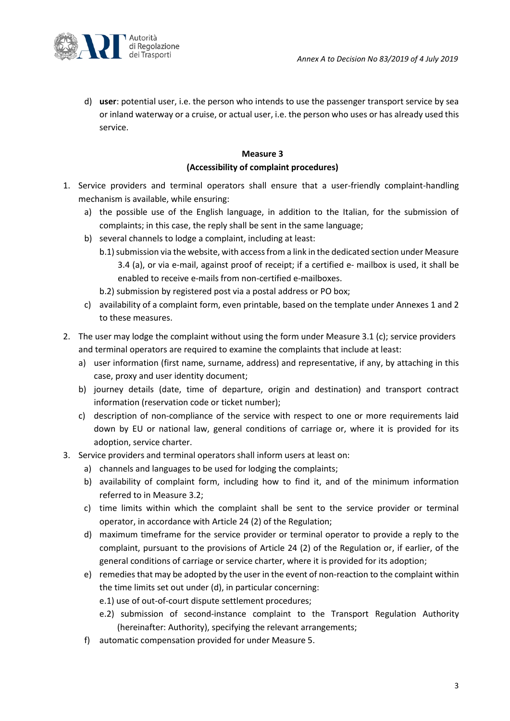

d) **user**: potential user, i.e. the person who intends to use the passenger transport service by sea or inland waterway or a cruise, or actual user, i.e. the person who uses or has already used this service.

# **Measure 3 (Accessibility of complaint procedures)**

- 1. Service providers and terminal operators shall ensure that a user-friendly complaint-handling mechanism is available, while ensuring:
	- a) the possible use of the English language, in addition to the Italian, for the submission of complaints; in this case, the reply shall be sent in the same language;
	- b) several channels to lodge a complaint, including at least:
		- b.1) submission via the website, with access from a link in the dedicated section under Measure 3.4 (a), or via e-mail, against proof of receipt; if a certified e- mailbox is used, it shall be enabled to receive e-mails from non-certified e-mailboxes.
			- b.2) submission by registered post via a postal address or PO box;
	- c) availability of a complaint form, even printable, based on the template under Annexes 1 and 2 to these measures.
- 2. The user may lodge the complaint without using the form under Measure 3.1 (c); service providers and terminal operators are required to examine the complaints that include at least:
	- a) user information (first name, surname, address) and representative, if any, by attaching in this case, proxy and user identity document;
	- b) journey details (date, time of departure, origin and destination) and transport contract information (reservation code or ticket number);
	- c) description of non-compliance of the service with respect to one or more requirements laid down by EU or national law, general conditions of carriage or, where it is provided for its adoption, service charter.
- 3. Service providers and terminal operators shall inform users at least on:
	- a) channels and languages to be used for lodging the complaints;
	- b) availability of complaint form, including how to find it, and of the minimum information referred to in Measure 3.2;
	- c) time limits within which the complaint shall be sent to the service provider or terminal operator, in accordance with Article 24 (2) of the Regulation;
	- d) maximum timeframe for the service provider or terminal operator to provide a reply to the complaint, pursuant to the provisions of Article 24 (2) of the Regulation or, if earlier, of the general conditions of carriage or service charter, where it is provided for its adoption;
	- e) remedies that may be adopted by the user in the event of non-reaction to the complaint within the time limits set out under (d), in particular concerning:
		- e.1) use of out-of-court dispute settlement procedures;
		- e.2) submission of second-instance complaint to the Transport Regulation Authority (hereinafter: Authority), specifying the relevant arrangements;
	- f) automatic compensation provided for under Measure 5.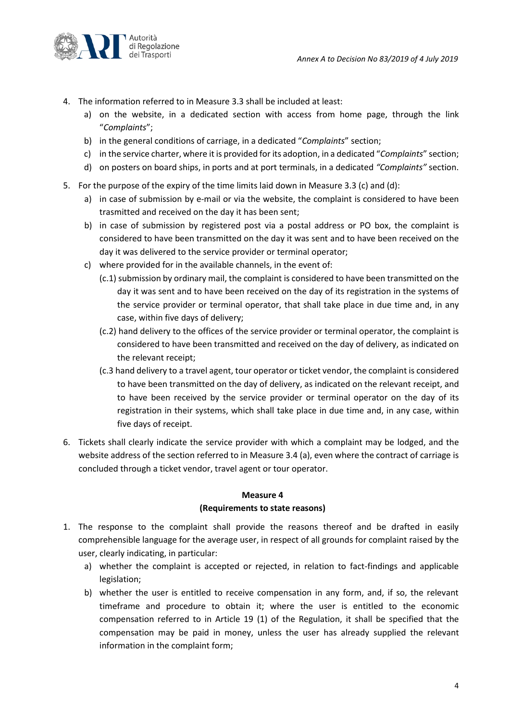

- 4. The information referred to in Measure 3.3 shall be included at least:
	- a) on the website, in a dedicated section with access from home page, through the link "*Complaints*";
	- b) in the general conditions of carriage, in a dedicated "*Complaints*" section;
	- c) in the service charter, where it is provided for its adoption, in a dedicated "*Complaints*" section;
	- d) on posters on board ships, in ports and at port terminals, in a dedicated *"Complaints"* section.
- 5. For the purpose of the expiry of the time limits laid down in Measure 3.3 (c) and (d):
	- a) in case of submission by e-mail or via the website, the complaint is considered to have been trasmitted and received on the day it has been sent;
	- b) in case of submission by registered post via a postal address or PO box, the complaint is considered to have been transmitted on the day it was sent and to have been received on the day it was delivered to the service provider or terminal operator;
	- c) where provided for in the available channels, in the event of:
		- (c.1) submission by ordinary mail, the complaint is considered to have been transmitted on the day it was sent and to have been received on the day of its registration in the systems of the service provider or terminal operator, that shall take place in due time and, in any case, within five days of delivery;
		- (c.2) hand delivery to the offices of the service provider or terminal operator, the complaint is considered to have been transmitted and received on the day of delivery, as indicated on the relevant receipt;
		- (c.3 hand delivery to a travel agent, tour operator or ticket vendor, the complaint is considered to have been transmitted on the day of delivery, as indicated on the relevant receipt, and to have been received by the service provider or terminal operator on the day of its registration in their systems, which shall take place in due time and, in any case, within five days of receipt.
- 6. Tickets shall clearly indicate the service provider with which a complaint may be lodged, and the website address of the section referred to in Measure 3.4 (a), even where the contract of carriage is concluded through a ticket vendor, travel agent or tour operator.

#### **Measure 4 (Requirements to state reasons)**

- 1. The response to the complaint shall provide the reasons thereof and be drafted in easily comprehensible language for the average user, in respect of all grounds for complaint raised by the user, clearly indicating, in particular:
	- a) whether the complaint is accepted or rejected, in relation to fact-findings and applicable legislation;
	- b) whether the user is entitled to receive compensation in any form, and, if so, the relevant timeframe and procedure to obtain it; where the user is entitled to the economic compensation referred to in Article 19 (1) of the Regulation, it shall be specified that the compensation may be paid in money, unless the user has already supplied the relevant information in the complaint form;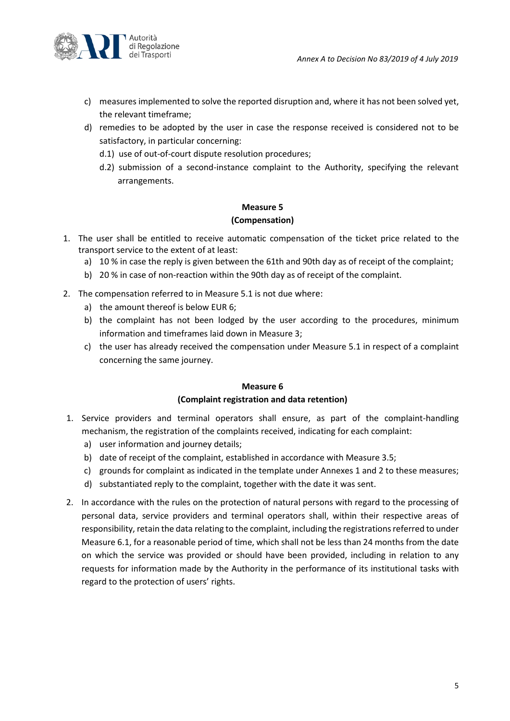

- c) measures implemented to solve the reported disruption and, where it has not been solved yet, the relevant timeframe;
- d) remedies to be adopted by the user in case the response received is considered not to be satisfactory, in particular concerning:
	- d.1) use of out-of-court dispute resolution procedures;
	- d.2) submission of a second-instance complaint to the Authority, specifying the relevant arrangements.

# **Measure 5 (Compensation)**

- 1. The user shall be entitled to receive automatic compensation of the ticket price related to the transport service to the extent of at least:
	- a) 10 % in case the reply is given between the 61th and 90th day as of receipt of the complaint;
	- b) 20 % in case of non-reaction within the 90th day as of receipt of the complaint.
- 2. The compensation referred to in Measure 5.1 is not due where:
	- a) the amount thereof is below EUR 6;
	- b) the complaint has not been lodged by the user according to the procedures, minimum information and timeframes laid down in Measure 3;
	- c) the user has already received the compensation under Measure 5.1 in respect of a complaint concerning the same journey.

# **Measure 6 (Complaint registration and data retention)**

- 1. Service providers and terminal operators shall ensure, as part of the complaint-handling mechanism, the registration of the complaints received, indicating for each complaint:
	- a) user information and journey details;
	- b) date of receipt of the complaint, established in accordance with Measure 3.5;
	- c) grounds for complaint as indicated in the template under Annexes 1 and 2 to these measures;
	- d) substantiated reply to the complaint, together with the date it was sent.
- 2. In accordance with the rules on the protection of natural persons with regard to the processing of personal data, service providers and terminal operators shall, within their respective areas of responsibility, retain the data relating to the complaint, including the registrations referred to under Measure 6.1, for a reasonable period of time, which shall not be less than 24 months from the date on which the service was provided or should have been provided, including in relation to any requests for information made by the Authority in the performance of its institutional tasks with regard to the protection of users' rights.